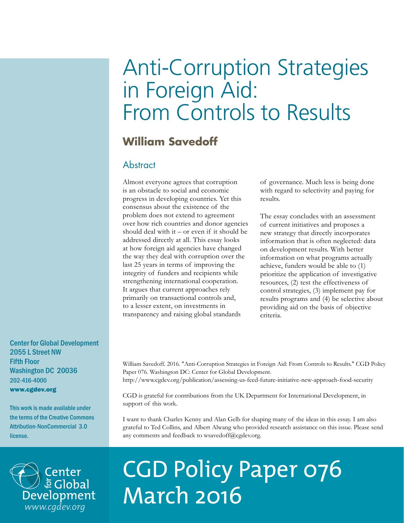# Anti-Corruption Strategies in Foreign Aid: From Controls to Results

# **William Savedoff**

## **Abstract**

Almost everyone agrees that corruption is an obstacle to social and economic progress in developing countries. Yet this consensus about the existence of the problem does not extend to agreement over how rich countries and donor agencies should deal with it – or even if it should be addressed directly at all. This essay looks at how foreign aid agencies have changed the way they deal with corruption over the last 25 years in terms of improving the integrity of funders and recipients while strengthening international cooperation. It argues that current approaches rely primarily on transactional controls and, to a lesser extent, on investments in transparency and raising global standards

of governance. Much less is being done with regard to selectivity and paying for results.

The essay concludes with an assessment of current initiatives and proposes a new strategy that directly incorporates information that is often neglected: data on development results. With better information on what programs actually achieve, funders would be able to (1) prioritize the application of investigative resources, (2) test the effectiveness of control strategies, (3) implement pay for results programs and (4) be selective about providing aid on the basis of objective criteria.

Center for Global Development 2055 L Street NW Fifth Floor Washington DC 20036 202-416-4000 www.cgdev.org

This work is made available under the terms of the Creative Commons Attribution-NonCommercial 3.0 license.



William Savedoff. 2016. "Anti-Corruption Strategies in Foreign Aid: From Controls to Results." CGD Policy Paper 076. Washington DC: Center for Global Development.

http://www.cgdev.org/publication/assessing-us-feed-future-initiative-new-approach-food-security

CGD is grateful for contributions from the UK Department for International Development, in support of this work.

I want to thank Charles Kenny and Alan Gelb for shaping many of the ideas in this essay. I am also grateful to Ted Collins, and Albert Alwang who provided research assistance on this issue. Please send any comments and feedback to wsavedoff@cgdev.org.

# CGD Policy Paper 076 March 2016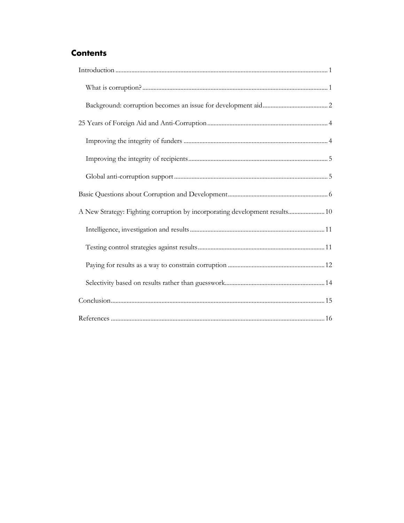# **Contents**

| A New Strategy: Fighting corruption by incorporating development results 10 |
|-----------------------------------------------------------------------------|
|                                                                             |
|                                                                             |
|                                                                             |
|                                                                             |
|                                                                             |
|                                                                             |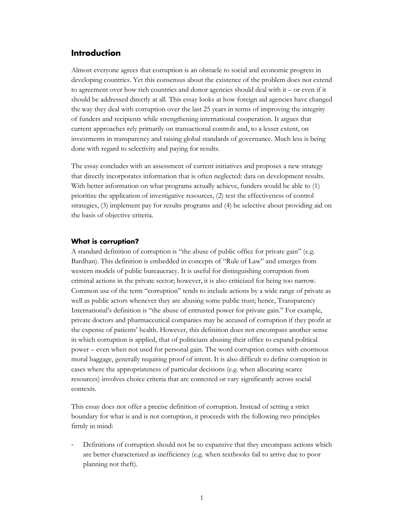## <span id="page-2-0"></span>**Introduction**

Almost everyone agrees that corruption is an obstacle to social and economic progress in developing countries. Yet this consensus about the existence of the problem does not extend to agreement over how rich countries and donor agencies should deal with it – or even if it should be addressed directly at all. This essay looks at how foreign aid agencies have changed the way they deal with corruption over the last 25 years in terms of improving the integrity of funders and recipients while strengthening international cooperation. It argues that current approaches rely primarily on transactional controls and, to a lesser extent, on investments in transparency and raising global standards of governance. Much less is being done with regard to selectivity and paying for results.

The essay concludes with an assessment of current initiatives and proposes a new strategy that directly incorporates information that is often neglected: data on development results. With better information on what programs actually achieve, funders would be able to (1) prioritize the application of investigative resources, (2) test the effectiveness of control strategies, (3) implement pay for results programs and (4) be selective about providing aid on the basis of objective criteria.

#### <span id="page-2-1"></span>**What is corruption?**

A standard definition of corruption is "the abuse of public office for private gain" (e.g. Bardhan). This definition is embedded in concepts of "Rule of Law" and emerges from western models of public bureaucracy. It is useful for distinguishing corruption from criminal actions in the private sector; however, it is also criticized for being too narrow. Common use of the term "corruption" tends to include actions by a wide range of private as well as public actors whenever they are abusing some public trust; hence, Transparency International's definition is "the abuse of entrusted power for private gain." For example, private doctors and pharmaceutical companies may be accused of corruption if they profit at the expense of patients' health. However, this definition does not encompass another sense in which corruption is applied, that of politicians abusing their office to expand political power – even when not used for personal gain. The word corruption comes with enormous moral baggage, generally requiring proof of intent. It is also difficult to define corruption in cases where the appropriateness of particular decisions (e.g. when allocating scarce resources) involves choice criteria that are contested or vary significantly across social contexts.

This essay does not offer a precise definition of corruption. Instead of setting a strict boundary for what is and is not corruption, it proceeds with the following two principles firmly in mind:

Definitions of corruption should not be so expansive that they encompass actions which are better characterized as inefficiency (e.g. when textbooks fail to arrive due to poor planning not theft).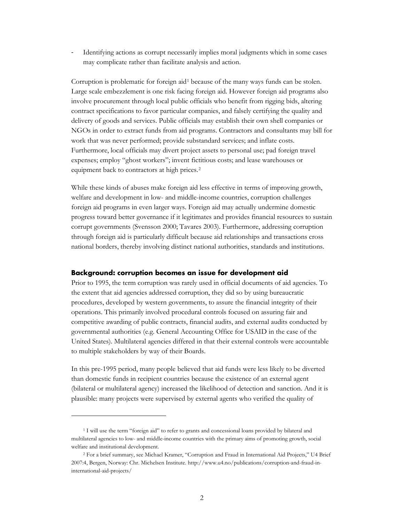Identifying actions as corrupt necessarily implies moral judgments which in some cases may complicate rather than facilitate analysis and action.

Corruption is problematic for foreign aid<sup>[1](#page-3-1)</sup> because of the many ways funds can be stolen. Large scale embezzlement is one risk facing foreign aid. However foreign aid programs also involve procurement through local public officials who benefit from rigging bids, altering contract specifications to favor particular companies, and falsely certifying the quality and delivery of goods and services. Public officials may establish their own shell companies or NGOs in order to extract funds from aid programs. Contractors and consultants may bill for work that was never performed; provide substandard services; and inflate costs. Furthermore, local officials may divert project assets to personal use; pad foreign travel expenses; employ "ghost workers"; invent fictitious costs; and lease warehouses or equipment back to contractors at high prices.<sup>[2](#page-3-2)</sup>

While these kinds of abuses make foreign aid less effective in terms of improving growth, welfare and development in low- and middle-income countries, corruption challenges foreign aid programs in even larger ways. Foreign aid may actually undermine domestic progress toward better governance if it legitimates and provides financial resources to sustain corrupt governments (Svensson 2000; Tavares 2003). Furthermore, addressing corruption through foreign aid is particularly difficult because aid relationships and transactions cross national borders, thereby involving distinct national authorities, standards and institutions.

## <span id="page-3-0"></span>**Background: corruption becomes an issue for development aid**

Prior to 1995, the term corruption was rarely used in official documents of aid agencies. To the extent that aid agencies addressed corruption, they did so by using bureaucratic procedures, developed by western governments, to assure the financial integrity of their operations. This primarily involved procedural controls focused on assuring fair and competitive awarding of public contracts, financial audits, and external audits conducted by governmental authorities (e.g. General Accounting Office for USAID in the case of the United States). Multilateral agencies differed in that their external controls were accountable to multiple stakeholders by way of their Boards.

In this pre-1995 period, many people believed that aid funds were less likely to be diverted than domestic funds in recipient countries because the existence of an external agent (bilateral or multilateral agency) increased the likelihood of detection and sanction. And it is plausible: many projects were supervised by external agents who verified the quality of

 $\overline{a}$ 

<span id="page-3-1"></span><sup>1</sup> I will use the term "foreign aid" to refer to grants and concessional loans provided by bilateral and multilateral agencies to low- and middle-income countries with the primary aims of promoting growth, social welfare and institutional development.

<span id="page-3-2"></span><sup>2</sup> For a brief summary, see Michael Kramer, "Corruption and Fraud in International Aid Projects," U4 Brief 2007:4, Bergen, Norway: Chr. Michelsen Institute. http://www.u4.no/publications/corruption-and-fraud-ininternational-aid-projects/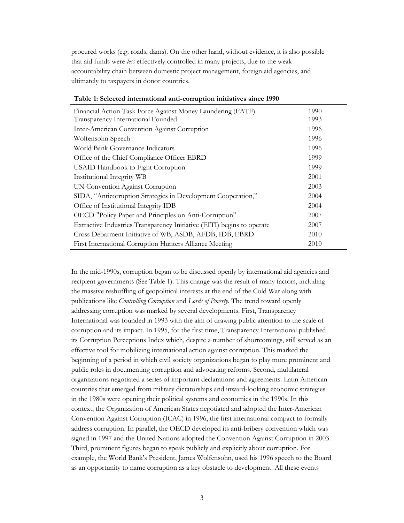procured works (e.g. roads, dams). On the other hand, without evidence, it is also possible that aid funds were *less* effectively controlled in many projects, due to the weak accountability chain between domestic project management, foreign aid agencies, and ultimately to taxpayers in donor countries.

| Financial Action Task Force Against Money Laundering (FATF)            | 1990 |
|------------------------------------------------------------------------|------|
| Transparency International Founded                                     | 1993 |
| Inter-American Convention Against Corruption                           | 1996 |
| Wolfensohn Speech                                                      | 1996 |
| World Bank Governance Indicators                                       | 1996 |
| Office of the Chief Compliance Officer EBRD                            | 1999 |
| <b>USAID Handbook to Fight Corruption</b>                              | 1999 |
| Institutional Integrity WB                                             | 2001 |
| UN Convention Against Corruption                                       | 2003 |
| SIDA, "Anticorruption Strategies in Development Cooperation,"          | 2004 |
| Office of Institutional Integrity IDB                                  | 2004 |
| OECD "Policy Paper and Principles on Anti-Corruption"                  | 2007 |
| Extractive Industries Transparency Initiative (EITI) begins to operate | 2007 |
| Cross Debarment Initiative of WB, ASDB, AFDB, IDB, EBRD                | 2010 |
| First International Corruption Hunters Alliance Meeting                | 2010 |

#### **Table 1: Selected international anti-corruption initiatives since 1990**

In the mid-1990s, corruption began to be discussed openly by international aid agencies and recipient governments (See Table 1). This change was the result of many factors, including the massive reshuffling of geopolitical interests at the end of the Cold War along with publications like *Controlling Corruption* and *Lords of Poverty.* The trend toward openly addressing corruption was marked by several developments. First, Transparency International was founded in 1993 with the aim of drawing public attention to the scale of corruption and its impact. In 1995, for the first time, Transparency International published its Corruption Perceptions Index which, despite a number of shortcomings, still served as an effective tool for mobilizing international action against corruption. This marked the beginning of a period in which civil society organizations began to play more prominent and public roles in documenting corruption and advocating reforms. Second, multilateral organizations negotiated a series of important declarations and agreements. Latin American countries that emerged from military dictatorships and inward-looking economic strategies in the 1980s were opening their political systems and economies in the 1990s. In this context, the Organization of American States negotiated and adopted the Inter-American Convention Against Corruption (ICAC) in 1996, the first international compact to formally address corruption. In parallel, the OECD developed its anti-bribery convention which was signed in 1997 and the United Nations adopted the Convention Against Corruption in 2003. Third, prominent figures began to speak publicly and explicitly about corruption. For example, the World Bank's President, James Wolfensohn, used his 1996 speech to the Board as an opportunity to name corruption as a key obstacle to development. All these events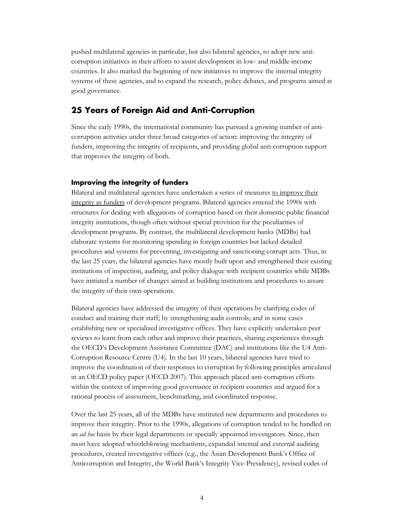pushed multilateral agencies in particular, but also bilateral agencies, to adopt new anticorruption initiatives in their efforts to assist development in low- and middle-income countries. It also marked the beginning of new initiatives to improve the internal integrity systems of these agencies, and to expand the research, policy debates, and programs aimed at good governance.

## <span id="page-5-0"></span>**25 Years of Foreign Aid and Anti-Corruption**

Since the early 1990s, the international community has pursued a growing number of anticorruption activities under three broad categories of action: improving the integrity of funders, improving the integrity of recipients, and providing global anti-corruption support that improves the integrity of both.

## <span id="page-5-1"></span>**Improving the integrity of funders**

Bilateral and multilateral agencies have undertaken a series of measures to improve their integrity as funders of development programs. Bilateral agencies entered the 1990s with structures for dealing with allegations of corruption based on their domestic public financial integrity institutions, though often without special provision for the peculiarities of development programs. By contrast, the multilateral development banks (MDBs) had elaborate systems for monitoring spending in foreign countries but lacked detailed procedures and systems for preventing, investigating and sanctioning corrupt acts. Thus, in the last 25 years, the bilateral agencies have mostly built upon and strengthened their existing institutions of inspection, auditing, and policy dialogue with recipient countries while MDBs have initiated a number of changes aimed at building institutions and procedures to assure the integrity of their own operations.

Bilateral agencies have addressed the integrity of their operations by clarifying codes of conduct and training their staff; by strengthening audit controls; and in some cases establishing new or specialized investigative offices. They have explicitly undertaken peer reviews to learn from each other and improve their practices, sharing experiences through the OECD's Development Assistance Committee (DAC) and institutions like the U4 Anti-Corruption Resource Centre (U4). In the last 10 years, bilateral agencies have tried to improve the coordination of their responses to corruption by following principles articulated in an OECD policy paper (OECD 2007). This approach placed anti-corruption efforts within the context of improving good governance in recipient countries and argued for a rational process of assessment, benchmarking, and coordinated response.

Over the last 25 years, all of the MDBs have instituted new departments and procedures to improve their integrity. Prior to the 1990s, allegations of corruption tended to be handled on an *ad hoc* basis by their legal departments or specially appointed investigators. Since, then most have adopted whistleblowing mechanisms, expanded internal and external auditing procedures, created investigative offices (e.g., the Asian Development Bank's Office of Anticorruption and Integrity, the World Bank's Integrity Vice-Presidency), revised codes of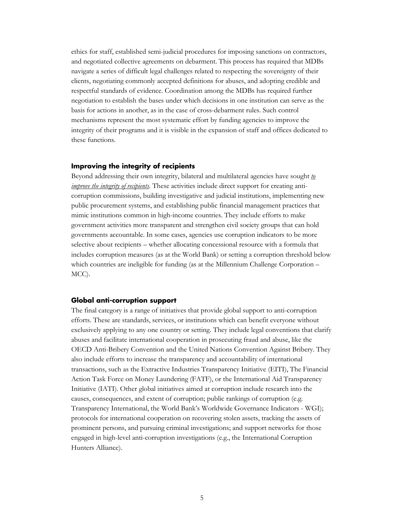ethics for staff, established semi-judicial procedures for imposing sanctions on contractors, and negotiated collective agreements on debarment. This process has required that MDBs navigate a series of difficult legal challenges related to respecting the sovereignty of their clients, negotiating commonly accepted definitions for abuses, and adopting credible and respectful standards of evidence. Coordination among the MDBs has required further negotiation to establish the bases under which decisions in one institution can serve as the basis for actions in another, as in the case of cross-debarment rules. Such control mechanisms represent the most systematic effort by funding agencies to improve the integrity of their programs and it is visible in the expansion of staff and offices dedicated to these functions.

#### <span id="page-6-0"></span>**Improving the integrity of recipients**

Beyond addressing their own integrity, bilateral and multilateral agencies have sought *to improve the integrity of recipients*. These activities include direct support for creating anticorruption commissions, building investigative and judicial institutions, implementing new public procurement systems, and establishing public financial management practices that mimic institutions common in high-income countries. They include efforts to make government activities more transparent and strengthen civil society groups that can hold governments accountable. In some cases, agencies use corruption indicators to be more selective about recipients – whether allocating concessional resource with a formula that includes corruption measures (as at the World Bank) or setting a corruption threshold below which countries are ineligible for funding (as at the Millennium Challenge Corporation – MCC).

#### <span id="page-6-1"></span>**Global anti-corruption support**

The final category is a range of initiatives that provide global support to anti-corruption efforts. These are standards, services, or institutions which can benefit everyone without exclusively applying to any one country or setting. They include legal conventions that clarify abuses and facilitate international cooperation in prosecuting fraud and abuse, like the OECD Anti-Bribery Convention and the United Nations Convention Against Bribery. They also include efforts to increase the transparency and accountability of international transactions, such as the Extractive Industries Transparency Initiative (EITI), The Financial Action Task Force on Money Laundering (FATF), or the International Aid Transparency Initiative (IATI). Other global initiatives aimed at corruption include research into the causes, consequences, and extent of corruption; public rankings of corruption (e.g. Transparency International, the World Bank's Worldwide Governance Indicators - WGI); protocols for international cooperation on recovering stolen assets, tracking the assets of prominent persons, and pursuing criminal investigations; and support networks for those engaged in high-level anti-corruption investigations (e.g., the International Corruption Hunters Alliance).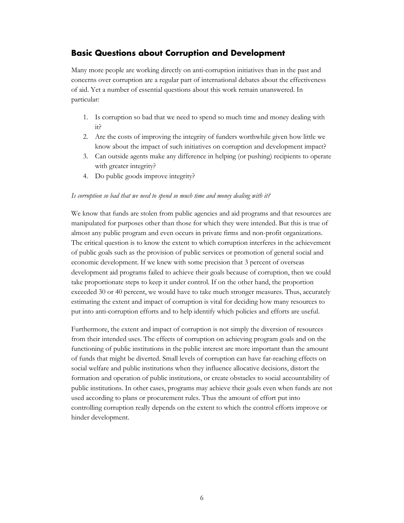## <span id="page-7-0"></span>**Basic Questions about Corruption and Development**

Many more people are working directly on anti-corruption initiatives than in the past and concerns over corruption are a regular part of international debates about the effectiveness of aid. Yet a number of essential questions about this work remain unanswered. In particular:

- 1. Is corruption so bad that we need to spend so much time and money dealing with it?
- 2. Are the costs of improving the integrity of funders worthwhile given how little we know about the impact of such initiatives on corruption and development impact?
- 3. Can outside agents make any difference in helping (or pushing) recipients to operate with greater integrity?
- 4. Do public goods improve integrity?

## *Is corruption so bad that we need to spend so much time and money dealing with it?*

We know that funds are stolen from public agencies and aid programs and that resources are manipulated for purposes other than those for which they were intended. But this is true of almost any public program and even occurs in private firms and non-profit organizations. The critical question is to know the extent to which corruption interferes in the achievement of public goals such as the provision of public services or promotion of general social and economic development. If we knew with some precision that 3 percent of overseas development aid programs failed to achieve their goals because of corruption, then we could take proportionate steps to keep it under control. If on the other hand, the proportion exceeded 30 or 40 percent, we would have to take much stronger measures. Thus, accurately estimating the extent and impact of corruption is vital for deciding how many resources to put into anti-corruption efforts and to help identify which policies and efforts are useful.

Furthermore, the extent and impact of corruption is not simply the diversion of resources from their intended uses. The effects of corruption on achieving program goals and on the functioning of public institutions in the public interest are more important than the amount of funds that might be diverted. Small levels of corruption can have far-reaching effects on social welfare and public institutions when they influence allocative decisions, distort the formation and operation of public institutions, or create obstacles to social accountability of public institutions. In other cases, programs may achieve their goals even when funds are not used according to plans or procurement rules. Thus the amount of effort put into controlling corruption really depends on the extent to which the control efforts improve or hinder development.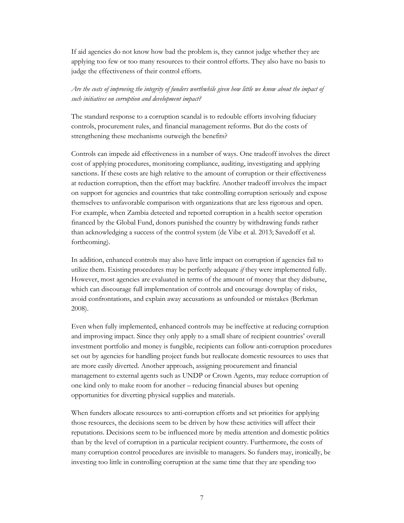If aid agencies do not know how bad the problem is, they cannot judge whether they are applying too few or too many resources to their control efforts. They also have no basis to judge the effectiveness of their control efforts.

## *Are the costs of improving the integrity of funders worthwhile given how little we know about the impact of such initiatives on corruption and development impact?*

The standard response to a corruption scandal is to redouble efforts involving fiduciary controls, procurement rules, and financial management reforms. But do the costs of strengthening these mechanisms outweigh the benefits?

Controls can impede aid effectiveness in a number of ways. One tradeoff involves the direct cost of applying procedures, monitoring compliance, auditing, investigating and applying sanctions. If these costs are high relative to the amount of corruption or their effectiveness at reduction corruption, then the effort may backfire. Another tradeoff involves the impact on support for agencies and countries that take controlling corruption seriously and expose themselves to unfavorable comparison with organizations that are less rigorous and open. For example, when Zambia detected and reported corruption in a health sector operation financed by the Global Fund, donors punished the country by withdrawing funds rather than acknowledging a success of the control system (de Vibe et al. 2013; Savedoff et al. forthcoming).

In addition, enhanced controls may also have little impact on corruption if agencies fail to utilize them. Existing procedures may be perfectly adequate *if* they were implemented fully. However, most agencies are evaluated in terms of the amount of money that they disburse, which can discourage full implementation of controls and encourage downplay of risks, avoid confrontations, and explain away accusations as unfounded or mistakes (Berkman 2008).

Even when fully implemented, enhanced controls may be ineffective at reducing corruption and improving impact. Since they only apply to a small share of recipient countries' overall investment portfolio and money is fungible, recipients can follow anti-corruption procedures set out by agencies for handling project funds but reallocate domestic resources to uses that are more easily diverted. Another approach, assigning procurement and financial management to external agents such as UNDP or Crown Agents, may reduce corruption of one kind only to make room for another – reducing financial abuses but opening opportunities for diverting physical supplies and materials.

When funders allocate resources to anti-corruption efforts and set priorities for applying those resources, the decisions seem to be driven by how these activities will affect their reputations. Decisions seem to be influenced more by media attention and domestic politics than by the level of corruption in a particular recipient country. Furthermore, the costs of many corruption control procedures are invisible to managers. So funders may, ironically, be investing too little in controlling corruption at the same time that they are spending too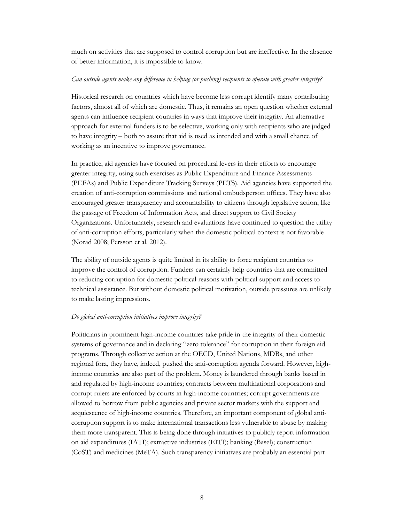much on activities that are supposed to control corruption but are ineffective. In the absence of better information, it is impossible to know.

## *Can outside agents make any difference in helping (or pushing) recipients to operate with greater integrity?*

Historical research on countries which have become less corrupt identify many contributing factors, almost all of which are domestic. Thus, it remains an open question whether external agents can influence recipient countries in ways that improve their integrity. An alternative approach for external funders is to be selective, working only with recipients who are judged to have integrity – both to assure that aid is used as intended and with a small chance of working as an incentive to improve governance.

In practice, aid agencies have focused on procedural levers in their efforts to encourage greater integrity, using such exercises as Public Expenditure and Finance Assessments (PEFAs) and Public Expenditure Tracking Surveys (PETS). Aid agencies have supported the creation of anti-corruption commissions and national ombudsperson offices. They have also encouraged greater transparency and accountability to citizens through legislative action, like the passage of Freedom of Information Acts, and direct support to Civil Society Organizations. Unfortunately, research and evaluations have continued to question the utility of anti-corruption efforts, particularly when the domestic political context is not favorable (Norad 2008; Persson et al. 2012).

The ability of outside agents is quite limited in its ability to force recipient countries to improve the control of corruption. Funders can certainly help countries that are committed to reducing corruption for domestic political reasons with political support and access to technical assistance. But without domestic political motivation, outside pressures are unlikely to make lasting impressions.

## *Do global anti-corruption initiatives improve integrity?*

Politicians in prominent high-income countries take pride in the integrity of their domestic systems of governance and in declaring "zero tolerance" for corruption in their foreign aid programs. Through collective action at the OECD, United Nations, MDBs, and other regional fora, they have, indeed, pushed the anti-corruption agenda forward. However, highincome countries are also part of the problem. Money is laundered through banks based in and regulated by high-income countries; contracts between multinational corporations and corrupt rulers are enforced by courts in high-income countries; corrupt governments are allowed to borrow from public agencies and private sector markets with the support and acquiescence of high-income countries. Therefore, an important component of global anticorruption support is to make international transactions less vulnerable to abuse by making them more transparent. This is being done through initiatives to publicly report information on aid expenditures (IATI); extractive industries (EITI); banking (Basel); construction (CoST) and medicines (MeTA). Such transparency initiatives are probably an essential part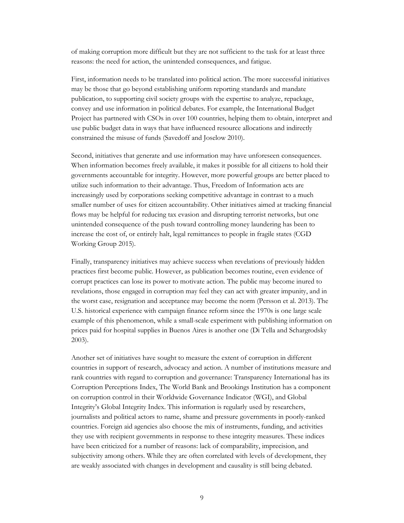of making corruption more difficult but they are not sufficient to the task for at least three reasons: the need for action, the unintended consequences, and fatigue.

First, information needs to be translated into political action. The more successful initiatives may be those that go beyond establishing uniform reporting standards and mandate publication, to supporting civil society groups with the expertise to analyze, repackage, convey and use information in political debates. For example, the International Budget Project has partnered with CSOs in over 100 countries, helping them to obtain, interpret and use public budget data in ways that have influenced resource allocations and indirectly constrained the misuse of funds (Savedoff and Joselow 2010).

Second, initiatives that generate and use information may have unforeseen consequences. When information becomes freely available, it makes it possible for all citizens to hold their governments accountable for integrity. However, more powerful groups are better placed to utilize such information to their advantage. Thus, Freedom of Information acts are increasingly used by corporations seeking competitive advantage in contrast to a much smaller number of uses for citizen accountability. Other initiatives aimed at tracking financial flows may be helpful for reducing tax evasion and disrupting terrorist networks, but one unintended consequence of the push toward controlling money laundering has been to increase the cost of, or entirely halt, legal remittances to people in fragile states (CGD Working Group 2015).

Finally, transparency initiatives may achieve success when revelations of previously hidden practices first become public. However, as publication becomes routine, even evidence of corrupt practices can lose its power to motivate action. The public may become inured to revelations, those engaged in corruption may feel they can act with greater impunity, and in the worst case, resignation and acceptance may become the norm (Persson et al. 2013). The U.S. historical experience with campaign finance reform since the 1970s is one large scale example of this phenomenon, while a small-scale experiment with publishing information on prices paid for hospital supplies in Buenos Aires is another one (Di Tella and Schargrodsky 2003).

Another set of initiatives have sought to measure the extent of corruption in different countries in support of research, advocacy and action. A number of institutions measure and rank countries with regard to corruption and governance: Transparency International has its Corruption Perceptions Index, The World Bank and Brookings Institution has a component on corruption control in their Worldwide Governance Indicator (WGI), and Global Integrity's Global Integrity Index. This information is regularly used by researchers, journalists and political actors to name, shame and pressure governments in poorly-ranked countries. Foreign aid agencies also choose the mix of instruments, funding, and activities they use with recipient governments in response to these integrity measures. These indices have been criticized for a number of reasons: lack of comparability, imprecision, and subjectivity among others. While they are often correlated with levels of development, they are weakly associated with changes in development and causality is still being debated.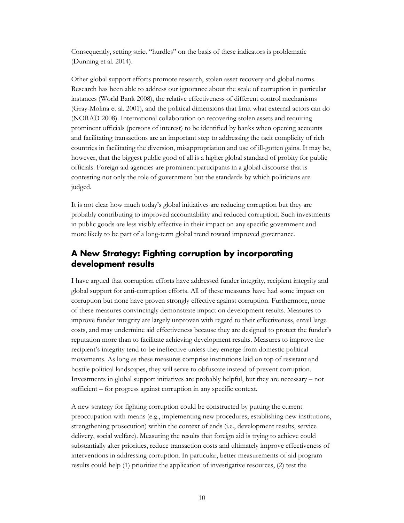Consequently, setting strict "hurdles" on the basis of these indicators is problematic (Dunning et al. 2014).

Other global support efforts promote research, stolen asset recovery and global norms. Research has been able to address our ignorance about the scale of corruption in particular instances (World Bank 2008), the relative effectiveness of different control mechanisms (Gray-Molina et al. 2001), and the political dimensions that limit what external actors can do (NORAD 2008). International collaboration on recovering stolen assets and requiring prominent officials (persons of interest) to be identified by banks when opening accounts and facilitating transactions are an important step to addressing the tacit complicity of rich countries in facilitating the diversion, misappropriation and use of ill-gotten gains. It may be, however, that the biggest public good of all is a higher global standard of probity for public officials. Foreign aid agencies are prominent participants in a global discourse that is contesting not only the role of government but the standards by which politicians are judged.

It is not clear how much today's global initiatives are reducing corruption but they are probably contributing to improved accountability and reduced corruption. Such investments in public goods are less visibly effective in their impact on any specific government and more likely to be part of a long-term global trend toward improved governance.

## <span id="page-11-0"></span>**A New Strategy: Fighting corruption by incorporating development results**

I have argued that corruption efforts have addressed funder integrity, recipient integrity and global support for anti-corruption efforts. All of these measures have had some impact on corruption but none have proven strongly effective against corruption. Furthermore, none of these measures convincingly demonstrate impact on development results. Measures to improve funder integrity are largely unproven with regard to their effectiveness, entail large costs, and may undermine aid effectiveness because they are designed to protect the funder's reputation more than to facilitate achieving development results. Measures to improve the recipient's integrity tend to be ineffective unless they emerge from domestic political movements. As long as these measures comprise institutions laid on top of resistant and hostile political landscapes, they will serve to obfuscate instead of prevent corruption. Investments in global support initiatives are probably helpful, but they are necessary – not sufficient – for progress against corruption in any specific context.

A new strategy for fighting corruption could be constructed by putting the current preoccupation with means (e.g., implementing new procedures, establishing new institutions, strengthening prosecution) within the context of ends (i.e., development results, service delivery, social welfare). Measuring the results that foreign aid is trying to achieve could substantially alter priorities, reduce transaction costs and ultimately improve effectiveness of interventions in addressing corruption. In particular, better measurements of aid program results could help (1) prioritize the application of investigative resources, (2) test the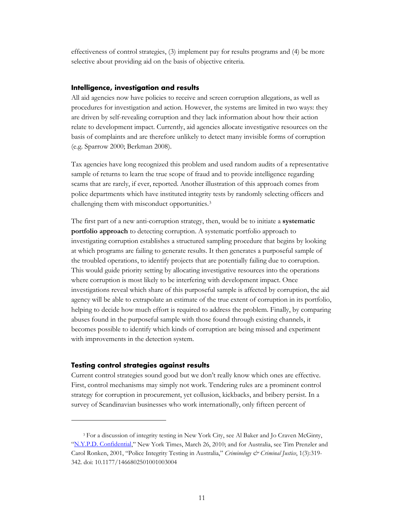effectiveness of control strategies, (3) implement pay for results programs and (4) be more selective about providing aid on the basis of objective criteria.

## <span id="page-12-0"></span>**Intelligence, investigation and results**

All aid agencies now have policies to receive and screen corruption allegations, as well as procedures for investigation and action. However, the systems are limited in two ways: they are driven by self-revealing corruption and they lack information about how their action relate to development impact. Currently, aid agencies allocate investigative resources on the basis of complaints and are therefore unlikely to detect many invisible forms of corruption (e.g. Sparrow 2000; Berkman 2008).

Tax agencies have long recognized this problem and used random audits of a representative sample of returns to learn the true scope of fraud and to provide intelligence regarding scams that are rarely, if ever, reported. Another illustration of this approach comes from police departments which have instituted integrity tests by randomly selecting officers and challenging them with misconduct opportunities.[3](#page-12-2)

The first part of a new anti-corruption strategy, then, would be to initiate a **systematic portfolio approach** to detecting corruption. A systematic portfolio approach to investigating corruption establishes a structured sampling procedure that begins by looking at which programs are failing to generate results. It then generates a purposeful sample of the troubled operations, to identify projects that are potentially failing due to corruption. This would guide priority setting by allocating investigative resources into the operations where corruption is most likely to be interfering with development impact. Once investigations reveal which share of this purposeful sample is affected by corruption, the aid agency will be able to extrapolate an estimate of the true extent of corruption in its portfolio, helping to decide how much effort is required to address the problem. Finally, by comparing abuses found in the purposeful sample with those found through existing channels, it becomes possible to identify which kinds of corruption are being missed and experiment with improvements in the detection system.

#### <span id="page-12-1"></span>**Testing control strategies against results**

 $\overline{a}$ 

Current control strategies sound good but we don't really know which ones are effective. First, control mechanisms may simply not work. Tendering rules are a prominent control strategy for corruption in procurement, yet collusion, kickbacks, and bribery persist. In a survey of Scandinavian businesses who work internationally, only fifteen percent of

<span id="page-12-2"></span><sup>3</sup> For a discussion of integrity testing in New York City, see Al Baker and Jo Craven McGinty, ["N.Y.P.D. Confidential,](http://www.nytimes.com/2010/03/28/nyregion/28iab.html?pagewanted=all&_r=0)" New York Times, March 26, 2010; and for Australia, see Tim Prenzler and Carol Ronken, 2001, "Police Integrity Testing in Australia," *Criminology & Criminal Justice*, 1(3):319- 342. doi: 10.1177/1466802501001003004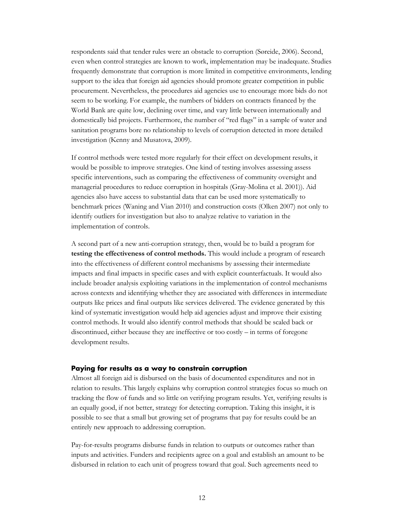respondents said that tender rules were an obstacle to corruption (Søreide, 2006). Second, even when control strategies are known to work, implementation may be inadequate. Studies frequently demonstrate that corruption is more limited in competitive environments, lending support to the idea that foreign aid agencies should promote greater competition in public procurement. Nevertheless, the procedures aid agencies use to encourage more bids do not seem to be working. For example, the numbers of bidders on contracts financed by the World Bank are quite low, declining over time, and vary little between internationally and domestically bid projects. Furthermore, the number of "red flags" in a sample of water and sanitation programs bore no relationship to levels of corruption detected in more detailed investigation (Kenny and Musatova, 2009).

If control methods were tested more regularly for their effect on development results, it would be possible to improve strategies. One kind of testing involves assessing assess specific interventions, such as comparing the effectiveness of community oversight and managerial procedures to reduce corruption in hospitals (Gray-Molina et al. 2001)). Aid agencies also have access to substantial data that can be used more systematically to benchmark prices (Waning and Vian 2010) and construction costs (Olken 2007) not only to identify outliers for investigation but also to analyze relative to variation in the implementation of controls.

A second part of a new anti-corruption strategy, then, would be to build a program for **testing the effectiveness of control methods.** This would include a program of research into the effectiveness of different control mechanisms by assessing their intermediate impacts and final impacts in specific cases and with explicit counterfactuals. It would also include broader analysis exploiting variations in the implementation of control mechanisms across contexts and identifying whether they are associated with differences in intermediate outputs like prices and final outputs like services delivered. The evidence generated by this kind of systematic investigation would help aid agencies adjust and improve their existing control methods. It would also identify control methods that should be scaled back or discontinued, either because they are ineffective or too costly – in terms of foregone development results.

#### <span id="page-13-0"></span>**Paying for results as a way to constrain corruption**

Almost all foreign aid is disbursed on the basis of documented expenditures and not in relation to results. This largely explains why corruption control strategies focus so much on tracking the flow of funds and so little on verifying program results. Yet, verifying results is an equally good, if not better, strategy for detecting corruption. Taking this insight, it is possible to see that a small but growing set of programs that pay for results could be an entirely new approach to addressing corruption.

Pay-for-results programs disburse funds in relation to outputs or outcomes rather than inputs and activities. Funders and recipients agree on a goal and establish an amount to be disbursed in relation to each unit of progress toward that goal. Such agreements need to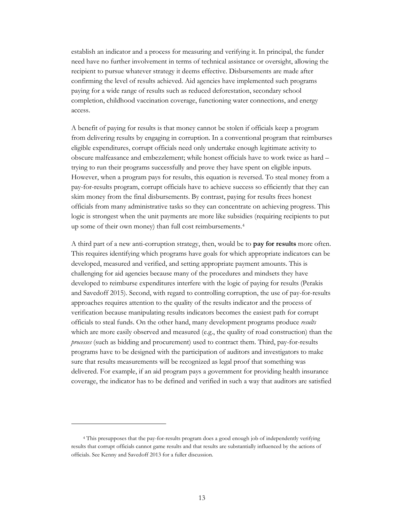establish an indicator and a process for measuring and verifying it. In principal, the funder need have no further involvement in terms of technical assistance or oversight, allowing the recipient to pursue whatever strategy it deems effective. Disbursements are made after confirming the level of results achieved. Aid agencies have implemented such programs paying for a wide range of results such as reduced deforestation, secondary school completion, childhood vaccination coverage, functioning water connections, and energy access.

A benefit of paying for results is that money cannot be stolen if officials keep a program from delivering results by engaging in corruption. In a conventional program that reimburses eligible expenditures, corrupt officials need only undertake enough legitimate activity to obscure malfeasance and embezzlement; while honest officials have to work twice as hard – trying to run their programs successfully and prove they have spent on eligible inputs. However, when a program pays for results, this equation is reversed. To steal money from a pay-for-results program, corrupt officials have to achieve success so efficiently that they can skim money from the final disbursements. By contrast, paying for results frees honest officials from many administrative tasks so they can concentrate on achieving progress. This logic is strongest when the unit payments are more like subsidies (requiring recipients to put up some of their own money) than full cost reimbursements[.4](#page-14-0)

A third part of a new anti-corruption strategy, then, would be to **pay for results** more often. This requires identifying which programs have goals for which appropriate indicators can be developed, measured and verified, and setting appropriate payment amounts. This is challenging for aid agencies because many of the procedures and mindsets they have developed to reimburse expenditures interfere with the logic of paying for results (Perakis and Savedoff 2015). Second, with regard to controlling corruption, the use of pay-for-results approaches requires attention to the quality of the results indicator and the process of verification because manipulating results indicators becomes the easiest path for corrupt officials to steal funds. On the other hand, many development programs produce *results* which are more easily observed and measured (e.g., the quality of road construction) than the *processes* (such as bidding and procurement) used to contract them. Third, pay-for-results programs have to be designed with the participation of auditors and investigators to make sure that results measurements will be recognized as legal proof that something was delivered. For example, if an aid program pays a government for providing health insurance coverage, the indicator has to be defined and verified in such a way that auditors are satisfied

 $\overline{a}$ 

<span id="page-14-0"></span><sup>4</sup> This presupposes that the pay-for-results program does a good enough job of independently verifying results that corrupt officials cannot game results and that results are substantially influenced by the actions of officials. See Kenny and Savedoff 2013 for a fuller discussion.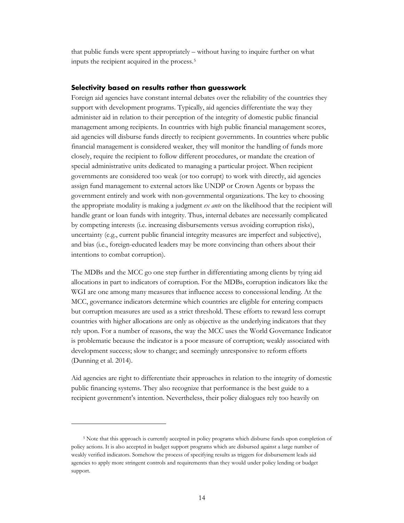that public funds were spent appropriately – without having to inquire further on what inputs the recipient acquired in the process.[5](#page-15-1)

## <span id="page-15-0"></span>**Selectivity based on results rather than guesswork**

Foreign aid agencies have constant internal debates over the reliability of the countries they support with development programs. Typically, aid agencies differentiate the way they administer aid in relation to their perception of the integrity of domestic public financial management among recipients. In countries with high public financial management scores, aid agencies will disburse funds directly to recipient governments. In countries where public financial management is considered weaker, they will monitor the handling of funds more closely, require the recipient to follow different procedures, or mandate the creation of special administrative units dedicated to managing a particular project. When recipient governments are considered too weak (or too corrupt) to work with directly, aid agencies assign fund management to external actors like UNDP or Crown Agents or bypass the government entirely and work with non-governmental organizations. The key to choosing the appropriate modality is making a judgment *ex ante* on the likelihood that the recipient will handle grant or loan funds with integrity. Thus, internal debates are necessarily complicated by competing interests (i.e. increasing disbursements versus avoiding corruption risks), uncertainty (e.g., current public financial integrity measures are imperfect and subjective), and bias (i.e., foreign-educated leaders may be more convincing than others about their intentions to combat corruption).

The MDBs and the MCC go one step further in differentiating among clients by tying aid allocations in part to indicators of corruption. For the MDBs, corruption indicators like the WGI are one among many measures that influence access to concessional lending. At the MCC, governance indicators determine which countries are eligible for entering compacts but corruption measures are used as a strict threshold. These efforts to reward less corrupt countries with higher allocations are only as objective as the underlying indicators that they rely upon. For a number of reasons, the way the MCC uses the World Governance Indicator is problematic because the indicator is a poor measure of corruption; weakly associated with development success; slow to change; and seemingly unresponsive to reform efforts (Dunning et al. 2014).

Aid agencies are right to differentiate their approaches in relation to the integrity of domestic public financing systems. They also recognize that performance is the best guide to a recipient government's intention. Nevertheless, their policy dialogues rely too heavily on

 $\overline{a}$ 

<span id="page-15-1"></span><sup>5</sup> Note that this approach is currently accepted in policy programs which disburse funds upon completion of policy actions. It is also accepted in budget support programs which are disbursed against a large number of weakly verified indicators. Somehow the process of specifying results as triggers for disbursement leads aid agencies to apply more stringent controls and requirements than they would under policy lending or budget support.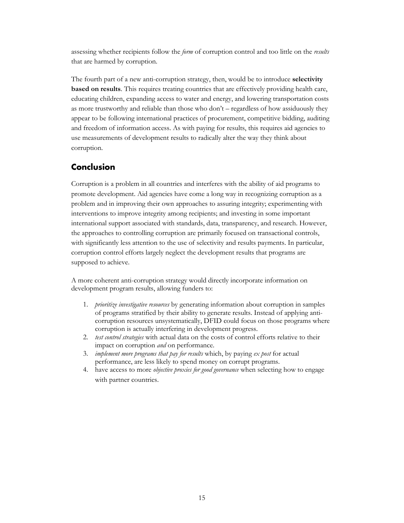assessing whether recipients follow the *form* of corruption control and too little on the *results* that are harmed by corruption.

The fourth part of a new anti-corruption strategy, then, would be to introduce **selectivity based on results**. This requires treating countries that are effectively providing health care, educating children, expanding access to water and energy, and lowering transportation costs as more trustworthy and reliable than those who don't – regardless of how assiduously they appear to be following international practices of procurement, competitive bidding, auditing and freedom of information access. As with paying for results, this requires aid agencies to use measurements of development results to radically alter the way they think about corruption.

# <span id="page-16-0"></span>**Conclusion**

Corruption is a problem in all countries and interferes with the ability of aid programs to promote development. Aid agencies have come a long way in recognizing corruption as a problem and in improving their own approaches to assuring integrity; experimenting with interventions to improve integrity among recipients; and investing in some important international support associated with standards, data, transparency, and research. However, the approaches to controlling corruption are primarily focused on transactional controls, with significantly less attention to the use of selectivity and results payments. In particular, corruption control efforts largely neglect the development results that programs are supposed to achieve.

A more coherent anti-corruption strategy would directly incorporate information on development program results, allowing funders to:

- 1. *prioritize investigative resources* by generating information about corruption in samples of programs stratified by their ability to generate results. Instead of applying anticorruption resources unsystematically, DFID could focus on those programs where corruption is actually interfering in development progress.
- 2. *test control strategies* with actual data on the costs of control efforts relative to their impact on corruption *and* on performance.
- 3. *implement more programs that pay for results* which, by paying *ex post* for actual performance, are less likely to spend money on corrupt programs.
- 4. have access to more *objective proxies for good governance* when selecting how to engage with partner countries.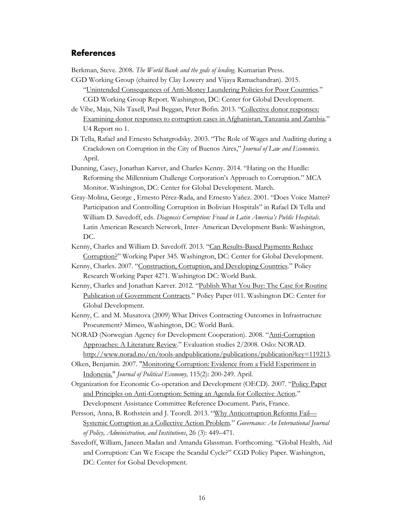## <span id="page-17-0"></span>**References**

Berkman, Steve. 2008. *The World Bank and the gods of lending*. Kumarian Press.

- CGD Working Group (chaired by Clay Lowery and Vijaya Ramachandran). 2015. ["Unintended Consequences of Anti-Money Laundering Policies for Poor Countries.](http://www.cgdev.org/publication/unintended-consequences-anti-money-laundering-policies-poor-countries)" CGD Working Group Report. Washington, DC: Center for Global Development.
- de Vibe, Maja, Nils Taxell, Paul Beggan, Peter Bofin. 2013. ["Collective donor responses:](http://www.cmi.no/publications/file/4939-collective-donor-responses.pdf)  [Examining donor responses to corruption cases in Afghanistan, Tanzania and Zambia."](http://www.cmi.no/publications/file/4939-collective-donor-responses.pdf) U4 Report no 1.
- Di Tella, Rafael and Ernesto Schargrodsky. 2003. "The Role of Wages and Auditing during a Crackdown on Corruption in the City of Buenos Aires," *Journal of Law and Economics*. April.
- Dunning, Casey, Jonathan Karver, and Charles Kenny. 2014. "Hating on the Hurdle: Reforming the Millennium Challenge Corporation's Approach to Corruption." MCA Monitor. Washington, DC: Center for Global Development. March.
- Gray-Molina, George , Ernesto Pérez-Rada, and Ernesto Yañez. 2001. "Does Voice Matter? Participation and Controlling Corruption in Bolivian Hospitals" in Rafael Di Tella and William D. Savedoff, eds. *Diagnosis Corruption: Fraud in Latin America's Public Hospitals*. Latin American Research Network, Inter- American Development Bank: Washington, DC.
- Kenny, Charles and William D. Savedoff. 2013. "Can Results-Based Payments Reduce [Corruption?"](http://www.cgdev.org/publication/can-results-based-payments-reduce-corruption-working-paper-345) Working Paper 345. Washington, DC: Center for Global Development.
- Kenny, Charles. 2007. ["Construction, Corruption, and Developing Countries.](https://openknowledge.worldbank.org/bitstream/handle/10986/7451/wps4271.pdf?sequence=1)" Policy Research Working Paper 4271. Washington DC: World Bank.
- Kenny, Charles and Jonathan Karver. 2012. ["Publish What You Buy: The Case for Routine](http://cgdev.org.488elwb02.blackmesh.com/publication/publish-what-you-buy-case-routine-publication-government-contracts)  [Publication of Government Contracts.](http://cgdev.org.488elwb02.blackmesh.com/publication/publish-what-you-buy-case-routine-publication-government-contracts)" Policy Paper 011. Washington DC: Center for Global Development.
- Kenny, C. and M. Musatova (2009) What Drives Contracting Outcomes in Infrastructure Procurement? Mimeo, Washington, DC: World Bank.
- NORAD (Norwegian Agency for Development Cooperation). 2008. ["Anti-Corruption](http://www.norad.no/en/tools-andpublications/publications/publication?key=119213.)  [Approaches: A Literature Review.](http://www.norad.no/en/tools-andpublications/publications/publication?key=119213.)" Evaluation studies 2/2008. Oslo: NORAD. [http://www.norad.no/en/tools-andpublications/publications/publication?key=119213.](http://www.norad.no/en/tools-andpublications/publications/publication?key=119213)
- Olken, Benjamin. 2007. ["Monitoring Corruption: Evidence from a Field Experiment in](http://ideas.repec.org/a/ucp/jpolec/v115y2007p200-249.html)  [Indonesia."](http://ideas.repec.org/a/ucp/jpolec/v115y2007p200-249.html) *Journal of Political Economy,* 115(2): 200-249. April.
- Organization for Economic Co-operation and Development (OECD). 2007. ["Policy Paper](http://www.oecd.org/dac/governance-peace/governance/docs/39618679.pdf)  [and Principles on Anti-Corruption: Setting an Agenda for Collective Action.](http://www.oecd.org/dac/governance-peace/governance/docs/39618679.pdf)" Development Assistance Committee Reference Document. Paris, France.
- Persson, Anna, B. Rothstein and J. Teorell. 2013. "Why Anticorruption Reforms Fail-[Systemic Corruption as a Collective Action Problem."](http://onlinelibrary.wiley.com/doi/10.1111/j.1468-0491.2012.01604.x/abstract) *Governance: An International Journal of Policy, Administration, and Institutions*, 26 (3): 449–471.
- Savedoff, William, Janeen Madan and Amanda Glassman. Forthcoming. "Global Health, Aid and Corruption: Can We Escape the Scandal Cycle?" CGD Policy Paper. Washington, DC: Center for Gobal Development.